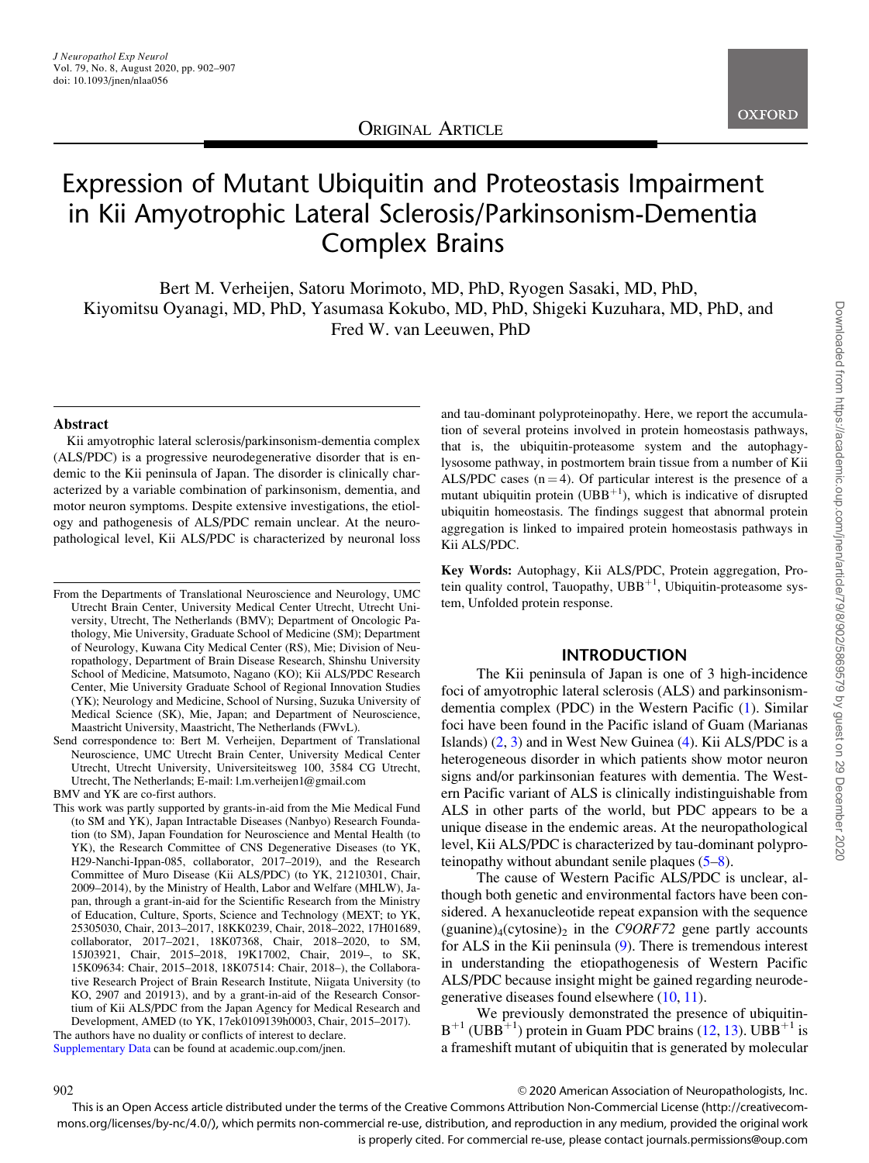

# Expression of Mutant Ubiquitin and Proteostasis Impairment in Kii Amyotrophic Lateral Sclerosis/Parkinsonism-Dementia Complex Brains

Bert M. Verheijen, Satoru Morimoto, MD, PhD, Ryogen Sasaki, MD, PhD, Kiyomitsu Oyanagi, MD, PhD, Yasumasa Kokubo, MD, PhD, Shigeki Kuzuhara, MD, PhD, and Fred W. van Leeuwen, PhD

#### Abstract

Kii amyotrophic lateral sclerosis/parkinsonism-dementia complex (ALS/PDC) is a progressive neurodegenerative disorder that is endemic to the Kii peninsula of Japan. The disorder is clinically characterized by a variable combination of parkinsonism, dementia, and motor neuron symptoms. Despite extensive investigations, the etiology and pathogenesis of ALS/PDC remain unclear. At the neuropathological level, Kii ALS/PDC is characterized by neuronal loss

Send correspondence to: Bert M. Verheijen, Department of Translational Neuroscience, UMC Utrecht Brain Center, University Medical Center Utrecht, Utrecht University, Universiteitsweg 100, 3584 CG Utrecht, Utrecht, The Netherlands; E-mail: l.m.verheijen1@gmail.com

BMV and YK are co-first authors.

This work was partly supported by grants-in-aid from the Mie Medical Fund (to SM and YK), Japan Intractable Diseases (Nanbyo) Research Foundation (to SM), Japan Foundation for Neuroscience and Mental Health (to YK), the Research Committee of CNS Degenerative Diseases (to YK, H29-Nanchi-Ippan-085, collaborator, 2017–2019), and the Research Committee of Muro Disease (Kii ALS/PDC) (to YK, 21210301, Chair, 2009–2014), by the Ministry of Health, Labor and Welfare (MHLW), Japan, through a grant-in-aid for the Scientific Research from the Ministry of Education, Culture, Sports, Science and Technology (MEXT; to YK, 25305030, Chair, 2013–2017, 18KK0239, Chair, 2018–2022, 17H01689, collaborator, 2017–2021, 18K07368, Chair, 2018–2020, to SM, 15J03921, Chair, 2015–2018, 19K17002, Chair, 2019–, to SK, 15K09634: Chair, 2015–2018, 18K07514: Chair, 2018–), the Collaborative Research Project of Brain Research Institute, Niigata University (to KO, 2907 and 201913), and by a grant-in-aid of the Research Consortium of Kii ALS/PDC from the Japan Agency for Medical Research and Development, AMED (to YK, 17ek0109139h0003, Chair, 2015–2017).

The authors have no duality or conflicts of interest to declare. Supplementary Data can be found at academic.oup.com/jnen.

and tau-dominant polyproteinopathy. Here, we report the accumulation of several proteins involved in protein homeostasis pathways, that is, the ubiquitin-proteasome system and the autophagylysosome pathway, in postmortem brain tissue from a number of Kii ALS/PDC cases  $(n = 4)$ . Of particular interest is the presence of a mutant ubiquitin protein (UBB<sup>+1</sup>), which is indicative of disrupted ubiquitin homeostasis. The findings suggest that abnormal protein aggregation is linked to impaired protein homeostasis pathways in Kii ALS/PDC.

Key Words: Autophagy, Kii ALS/PDC, Protein aggregation, Protein quality control, Tauopathy,  $UBB^{+1}$ , Ubiquitin-proteasome system, Unfolded protein response.

### INTRODUCTION

The Kii peninsula of Japan is one of 3 high-incidence foci of amyotrophic lateral sclerosis (ALS) and parkinsonismdementia complex (PDC) in the Western Pacific ([1\)](#page-4-0). Similar foci have been found in the Pacific island of Guam (Marianas Islands) [\(2,](#page-4-0) [3\)](#page-4-0) and in West New Guinea [\(4](#page-4-0)). Kii ALS/PDC is a heterogeneous disorder in which patients show motor neuron signs and/or parkinsonian features with dementia. The Western Pacific variant of ALS is clinically indistinguishable from ALS in other parts of the world, but PDC appears to be a unique disease in the endemic areas. At the neuropathological level, Kii ALS/PDC is characterized by tau-dominant polyproteinopathy without abundant senile plaques [\(5–8](#page-4-0)).

The cause of Western Pacific ALS/PDC is unclear, although both genetic and environmental factors have been considered. A hexanucleotide repeat expansion with the sequence (guanine)<sub>4</sub>(cytosine)<sub>2</sub> in the C9ORF72 gene partly accounts for ALS in the Kii peninsula [\(9](#page-4-0)). There is tremendous interest in understanding the etiopathogenesis of Western Pacific ALS/PDC because insight might be gained regarding neurodegenerative diseases found elsewhere ([10,](#page-4-0) [11](#page-4-0)).

We previously demonstrated the presence of ubiquitin- $B^{+1}$  (UBB<sup>+1</sup>) protein in Guam PDC brains ([12](#page-4-0), [13](#page-4-0)). UBB<sup>+1</sup> is a frameshift mutant of ubiquitin that is generated by molecular

edding the control of the control of the control of Neuropathologists, Inc.

This is an Open Access article distributed under the terms of the Creative Commons Attribution Non-Commercial License (http://creativecommons.org/licenses/by-nc/4.0/), which permits non-commercial re-use, distribution, and reproduction in any medium, provided the original work is properly cited. For commercial re-use, please contact journals.permissions@oup.com

From the Departments of Translational Neuroscience and Neurology, UMC Utrecht Brain Center, University Medical Center Utrecht, Utrecht University, Utrecht, The Netherlands (BMV); Department of Oncologic Pathology, Mie University, Graduate School of Medicine (SM); Department of Neurology, Kuwana City Medical Center (RS), Mie; Division of Neuropathology, Department of Brain Disease Research, Shinshu University School of Medicine, Matsumoto, Nagano (KO); Kii ALS/PDC Research Center, Mie University Graduate School of Regional Innovation Studies (YK); Neurology and Medicine, School of Nursing, Suzuka University of Medical Science (SK), Mie, Japan; and Department of Neuroscience, Maastricht University, Maastricht, The Netherlands (FWvL).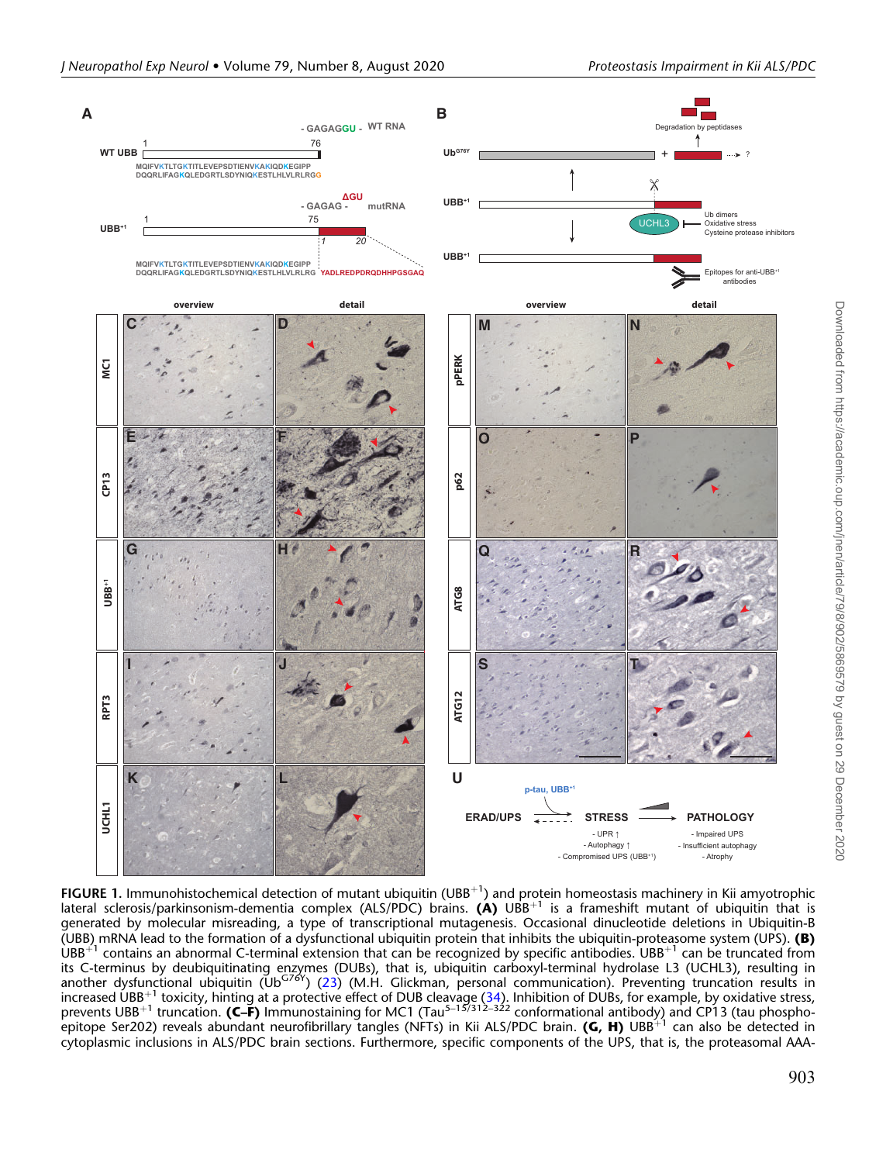<span id="page-1-0"></span>

FIGURE 1. Immunohistochemical detection of mutant ubiquitin (UBB<sup>+1</sup>) and protein homeostasis machinery in Kii amyotrophic lateral sclerosis/parkinsonism-dementia complex (ALS/PDC) brains. (A) UBB<sup>+1</sup> is a frameshift mutant of ubiquitin that is generated by molecular misreading, a type of transcriptional mutagenesis. Occasional dinucleotide deletions in Ubiquitin-B (UBB) mRNA lead to the formation of a dysfunctional ubiquitin protein that inhibits the ubiquitin-proteasome system (UPS). **(B)**  $UBB<sup>+1</sup>$  contains an abnormal C-terminal extension that can be recognized by specific antibodies. UBB<sup>+1</sup> can be truncated from its C-terminus by deubiquitinating enzymes (DUBs), that is, ubiquitin carboxyl-terminal hydrolase L3 (UCHL3), resulting in<br>another dysfunctional ubiquitin (Ub<sup>G76Y</sup>) ([23](#page-5-0)) (M.H. Glickman, personal communication). Preventing increased UBB<sup>+1</sup> toxicity, hinting at a protective effect of DUB cleavage [\(34](#page-5-0)). Inhibition of DUBs, for example, by oxidative stress, prevents UBB<sup>+1</sup> truncation. (C–F) Immunostaining for MC1 (Tau<sup>5–15/312–322</sup> conformational antibody) and CP13 (tau phospho-.<br>epitope Ser202) reveals abundant neurofibrillary tangles (NFTs) in Kii ALS/PDC brain. **(G, H)** UBB<sup>+1</sup> can also be detected in cytoplasmic inclusions in ALS/PDC brain sections. Furthermore, specific components of the UPS, that is, the proteasomal AAA-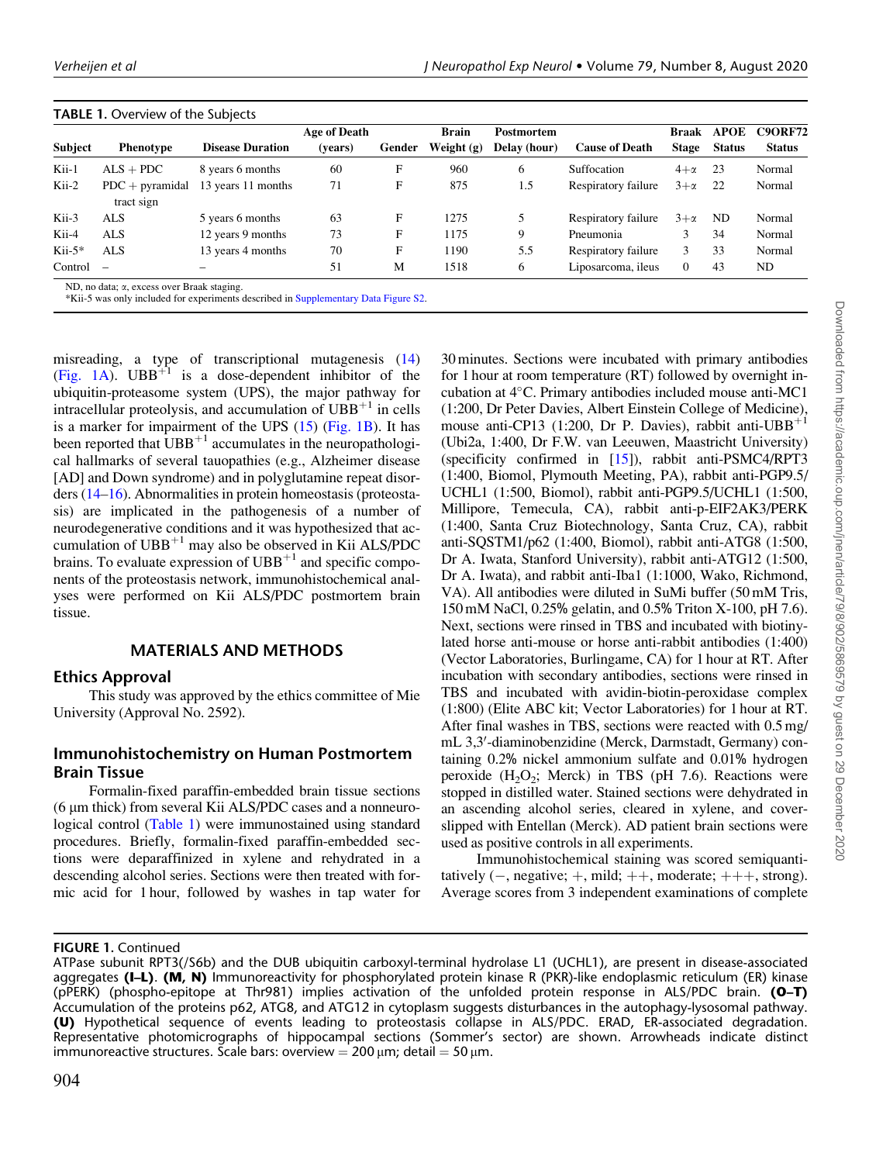|                |                               |                         | <b>Age of Death</b> |        | <b>Brain</b> | <b>Postmortem</b> |                       | <b>Braak</b> | <b>APOE</b>   | <b>C9ORF72</b> |
|----------------|-------------------------------|-------------------------|---------------------|--------|--------------|-------------------|-----------------------|--------------|---------------|----------------|
| <b>Subject</b> | <b>Phenotype</b>              | <b>Disease Duration</b> | (vears)             | Gender | Weight $(g)$ | Delay (hour)      | <b>Cause of Death</b> | <b>Stage</b> | <b>Status</b> | <b>Status</b>  |
| Kii-1          | $ALS + PDC$                   | 8 years 6 months        | 60                  | F      | 960          | 6                 | Suffocation           | $4+\alpha$   | 23            | Normal         |
| Kii-2          | $PDC + pyramid$<br>tract sign | 13 years 11 months      | 71                  | F      | 875          | 1.5               | Respiratory failure   | $3+\alpha$   | -22           | Normal         |
| Kii-3          | <b>ALS</b>                    | 5 years 6 months        | 63                  | F      | 1275         |                   | Respiratory failure   | $3+\alpha$   | ND.           | Normal         |
| Kii-4          | <b>ALS</b>                    | 12 years 9 months       | 73                  | F      | 1175         | 9                 | Pneumonia             |              | 34            | Normal         |
| $Kii-5*$       | <b>ALS</b>                    | 13 years 4 months       | 70                  | F      | 1190         | 5.5               | Respiratory failure   | 3            | 33            | Normal         |
| Control        | $\overline{\phantom{a}}$      |                         | 51                  | M      | 1518         | 6                 | Liposarcoma, ileus    | $\mathbf{0}$ | 43            | ND             |

## <span id="page-2-0"></span>TABLE 1. Overview of the Subjects

misreading, a type of transcriptional mutagenesis ([14\)](#page-4-0) [\(Fig. 1A\)](#page-1-0).  $UBB^{+1}$  is a dose-dependent inhibitor of the ubiquitin-proteasome system (UPS), the major pathway for intracellular proteolysis, and accumulation of  $UBB<sup>+1</sup>$  in cells is a marker for impairment of the UPS [\(15\)](#page-4-0) ([Fig. 1B](#page-1-0)). It has been reported that  $\text{UBB}^{+1}$  accumulates in the neuropathological hallmarks of several tauopathies (e.g., Alzheimer disease [AD] and Down syndrome) and in polyglutamine repeat disorders ([14–16\)](#page-4-0). Abnormalities in protein homeostasis (proteostasis) are implicated in the pathogenesis of a number of neurodegenerative conditions and it was hypothesized that accumulation of  $UBB<sup>+1</sup>$  may also be observed in Kii ALS/PDC brains. To evaluate expression of  $UBB<sup>+1</sup>$  and specific components of the proteostasis network, immunohistochemical analyses were performed on Kii ALS/PDC postmortem brain tissue.

# MATERIALS AND METHODS

# Ethics Approval

This study was approved by the ethics committee of Mie University (Approval No. 2592).

# Immunohistochemistry on Human Postmortem Brain Tissue

Formalin-fixed paraffin-embedded brain tissue sections  $(6 \mu m)$  thick) from several Kii ALS/PDC cases and a nonneurological control (Table 1) were immunostained using standard procedures. Briefly, formalin-fixed paraffin-embedded sections were deparaffinized in xylene and rehydrated in a descending alcohol series. Sections were then treated with formic acid for 1 hour, followed by washes in tap water for 30 minutes. Sections were incubated with primary antibodies for 1 hour at room temperature (RT) followed by overnight incubation at 4°C. Primary antibodies included mouse anti-MC1 (1:200, Dr Peter Davies, Albert Einstein College of Medicine), mouse anti-CP13 (1:200, Dr P. Davies), rabbit anti-UBB<sup>+1</sup> (Ubi2a, 1:400, Dr F.W. van Leeuwen, Maastricht University) (specificity confirmed in [[15](#page-4-0)]), rabbit anti-PSMC4/RPT3 (1:400, Biomol, Plymouth Meeting, PA), rabbit anti-PGP9.5/ UCHL1 (1:500, Biomol), rabbit anti-PGP9.5/UCHL1 (1:500, Millipore, Temecula, CA), rabbit anti-p-EIF2AK3/PERK (1:400, Santa Cruz Biotechnology, Santa Cruz, CA), rabbit anti-SQSTM1/p62 (1:400, Biomol), rabbit anti-ATG8 (1:500, Dr A. Iwata, Stanford University), rabbit anti-ATG12 (1:500, Dr A. Iwata), and rabbit anti-Iba1 (1:1000, Wako, Richmond, VA). All antibodies were diluted in SuMi buffer (50 mM Tris, 150 mM NaCl, 0.25% gelatin, and 0.5% Triton X-100, pH 7.6). Next, sections were rinsed in TBS and incubated with biotinylated horse anti-mouse or horse anti-rabbit antibodies (1:400) (Vector Laboratories, Burlingame, CA) for 1 hour at RT. After incubation with secondary antibodies, sections were rinsed in TBS and incubated with avidin-biotin-peroxidase complex (1:800) (Elite ABC kit; Vector Laboratories) for 1 hour at RT. After final washes in TBS, sections were reacted with 0.5 mg/ mL 3,3'-diaminobenzidine (Merck, Darmstadt, Germany) containing 0.2% nickel ammonium sulfate and 0.01% hydrogen peroxide  $(H_2O_2;$  Merck) in TBS (pH 7.6). Reactions were stopped in distilled water. Stained sections were dehydrated in an ascending alcohol series, cleared in xylene, and coverslipped with Entellan (Merck). AD patient brain sections were used as positive controls in all experiments.

Immunohistochemical staining was scored semiquantitatively  $(-,$  negative;  $+,$  mild;  $++,$  moderate;  $++,$  strong). Average scores from 3 independent examinations of complete

ATPase subunit RPT3(/S6b) and the DUB ubiquitin carboxyl-terminal hydrolase L1 (UCHL1), are present in disease-associated aggregates (I-L). (M, N) Immunoreactivity for phosphorylated protein kinase R (PKR)-like endoplasmic reticulum (ER) kinase (pPERK) (phospho-epitope at Thr981) implies activation of the unfolded protein response in ALS/PDC brain. (O–T) Accumulation of the proteins p62, ATG8, and ATG12 in cytoplasm suggests disturbances in the autophagy-lysosomal pathway. (U) Hypothetical sequence of events leading to proteostasis collapse in ALS/PDC. ERAD, ER-associated degradation. Representative photomicrographs of hippocampal sections (Sommer's sector) are shown. Arrowheads indicate distinct immunoreactive structures. Scale bars: overview =  $200 \mu m$ ; detail =  $50 \mu m$ .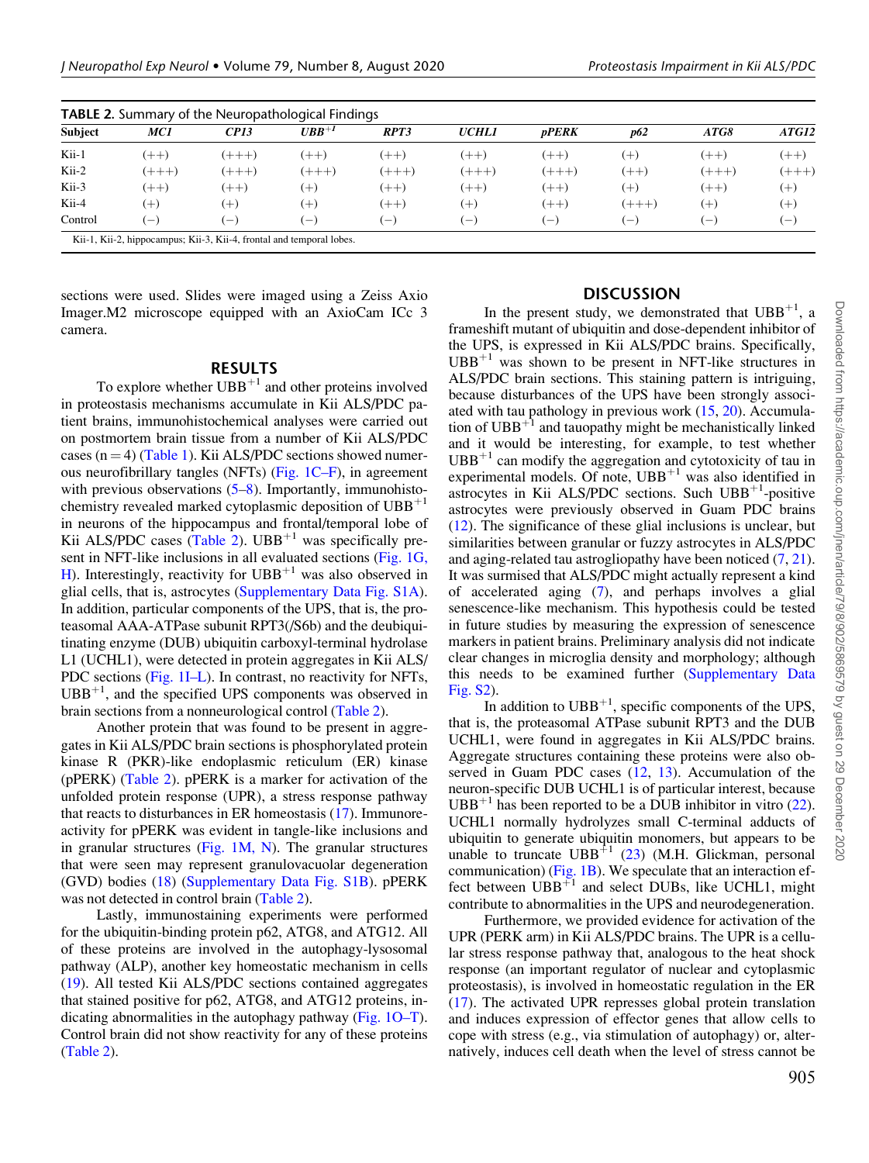| <b>Subject</b> | MC1          | CPI3    | $UBB^{+1}$        | RPT3   | <b>UCHLI</b>      | <i><b>pPERK</b></i>      | p62       | ATG8    | ATG12    |
|----------------|--------------|---------|-------------------|--------|-------------------|--------------------------|-----------|---------|----------|
| Kii-1          | $(++)$       | $(+++)$ | $(++)$            | $(++)$ | $(++)$            | $(++)$                   | $(+)$     | $(++)$  | $(++)$   |
| Kii-2          | $(++)$       | $(+++)$ | $(++)$            | $(++)$ | $(+ + +)$         | $(++)+$                  | $(++)$    | $(+++)$ | $(++)+$  |
| Kii-3          | $(++)$       | $(++)$  | (+)               | $(++)$ | $(++)$            | $(++)$                   | $^{(+)}$  | $(++)$  | $^{(+)}$ |
| Kii-4          | $(+)$        | $(+)$   | $(+)$             | $(++)$ | $(+)$             | $(++)$                   | $(+ + +)$ | (十)     | $^{(+)}$ |
| Control        | $\leftarrow$ | i — i   | $\qquad \qquad -$ | $-$    | $\qquad \qquad -$ | $\overline{\phantom{0}}$ | ' — ,     | $-$     | $(-)$    |

sections were used. Slides were imaged using a Zeiss Axio Imager.M2 microscope equipped with an AxioCam ICc 3 camera.

### RESULTS

To explore whether  $UBB^{+1}$  and other proteins involved in proteostasis mechanisms accumulate in Kii ALS/PDC patient brains, immunohistochemical analyses were carried out on postmortem brain tissue from a number of Kii ALS/PDC cases  $(n = 4)$  [\(Table 1\)](#page-2-0). Kii ALS/PDC sections showed numerous neurofibrillary tangles (NFTs) ([Fig. 1C–F\)](#page-1-0), in agreement with previous observations  $(5-8)$ . Importantly, immunohistochemistry revealed marked cytoplasmic deposition of  $UBB<sup>+1</sup>$ in neurons of the hippocampus and frontal/temporal lobe of Kii ALS/PDC cases (Table 2). UBB<sup>+1</sup> was specifically present in NFT-like inclusions in all evaluated sections ([Fig. 1G,](#page-1-0) [H](#page-1-0)). Interestingly, reactivity for  $UBB<sup>+1</sup>$  was also observed in glial cells, that is, astrocytes (Supplementary Data Fig. S1A). In addition, particular components of the UPS, that is, the proteasomal AAA-ATPase subunit RPT3(/S6b) and the deubiquitinating enzyme (DUB) ubiquitin carboxyl-terminal hydrolase L1 (UCHL1), were detected in protein aggregates in Kii ALS/ PDC sections [\(Fig. 1I–L\)](#page-1-0). In contrast, no reactivity for NFTs,  $UBB<sup>+1</sup>$ , and the specified UPS components was observed in brain sections from a nonneurological control (Table 2).

Another protein that was found to be present in aggregates in Kii ALS/PDC brain sections is phosphorylated protein kinase R (PKR)-like endoplasmic reticulum (ER) kinase (pPERK) (Table 2). pPERK is a marker for activation of the unfolded protein response (UPR), a stress response pathway that reacts to disturbances in ER homeostasis [\(17](#page-4-0)). Immunoreactivity for pPERK was evident in tangle-like inclusions and in granular structures ([Fig. 1M, N\)](#page-1-0). The granular structures that were seen may represent granulovacuolar degeneration (GVD) bodies ([18](#page-5-0)) (Supplementary Data Fig. S1B). pPERK was not detected in control brain (Table 2).

Lastly, immunostaining experiments were performed for the ubiquitin-binding protein p62, ATG8, and ATG12. All of these proteins are involved in the autophagy-lysosomal pathway (ALP), another key homeostatic mechanism in cells [\(19](#page-5-0)). All tested Kii ALS/PDC sections contained aggregates that stained positive for p62, ATG8, and ATG12 proteins, indicating abnormalities in the autophagy pathway ([Fig. 1O–T](#page-1-0)). Control brain did not show reactivity for any of these proteins (Table 2).

### **DISCUSSION**

In the present study, we demonstrated that  $UBB^{+1}$ , a frameshift mutant of ubiquitin and dose-dependent inhibitor of the UPS, is expressed in Kii ALS/PDC brains. Specifically,  $UBB<sup>+1</sup>$  was shown to be present in NFT-like structures in ALS/PDC brain sections. This staining pattern is intriguing, because disturbances of the UPS have been strongly associated with tau pathology in previous work ([15](#page-4-0), [20](#page-5-0)). Accumulation of  $UBB<sup>+1</sup>$  and tauopathy might be mechanistically linked and it would be interesting, for example, to test whether  $UBB<sup>+1</sup>$  can modify the aggregation and cytotoxicity of tau in experimental models. Of note,  $UBB<sup>+1</sup>$  was also identified in astrocytes in Kii ALS/PDC sections. Such UBB<sup>+1</sup>-positive astrocytes were previously observed in Guam PDC brains [\(12](#page-4-0)). The significance of these glial inclusions is unclear, but similarities between granular or fuzzy astrocytes in ALS/PDC and aging-related tau astrogliopathy have been noticed  $(7, 21)$  $(7, 21)$  $(7, 21)$  $(7, 21)$  $(7, 21)$ . It was surmised that ALS/PDC might actually represent a kind of accelerated aging ([7\)](#page-4-0), and perhaps involves a glial senescence-like mechanism. This hypothesis could be tested in future studies by measuring the expression of senescence markers in patient brains. Preliminary analysis did not indicate clear changes in microglia density and morphology; although this needs to be examined further (Supplementary Data Fig. S2).

In addition to  $UBB^{+1}$ , specific components of the UPS, that is, the proteasomal ATPase subunit RPT3 and the DUB UCHL1, were found in aggregates in Kii ALS/PDC brains. Aggregate structures containing these proteins were also observed in Guam PDC cases [\(12,](#page-4-0) [13\)](#page-4-0). Accumulation of the neuron-specific DUB UCHL1 is of particular interest, because  $UBB<sup>+1</sup>$  has been reported to be a DUB inhibitor in vitro [\(22](#page-5-0)). UCHL1 normally hydrolyzes small C-terminal adducts of ubiquitin to generate ubiquitin monomers, but appears to be unable to truncate  $UBB^{+1}$  [\(23](#page-5-0)) (M.H. Glickman, personal communication) ([Fig. 1B\)](#page-1-0). We speculate that an interaction effect between  $UBB<sup>+1</sup>$  and select DUBs, like UCHL1, might contribute to abnormalities in the UPS and neurodegeneration.

Furthermore, we provided evidence for activation of the UPR (PERK arm) in Kii ALS/PDC brains. The UPR is a cellular stress response pathway that, analogous to the heat shock response (an important regulator of nuclear and cytoplasmic proteostasis), is involved in homeostatic regulation in the ER [\(17](#page-4-0)). The activated UPR represses global protein translation and induces expression of effector genes that allow cells to cope with stress (e.g., via stimulation of autophagy) or, alternatively, induces cell death when the level of stress cannot be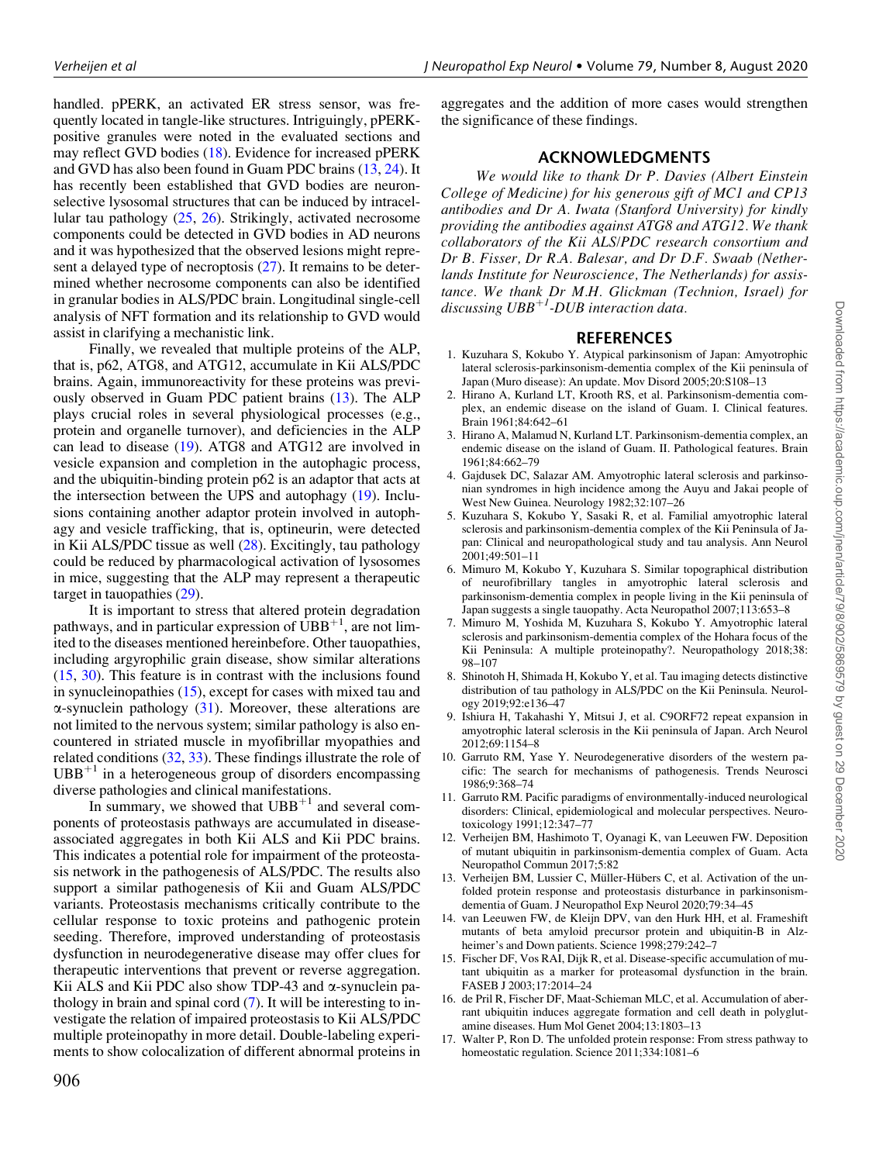<span id="page-4-0"></span>handled. pPERK, an activated ER stress sensor, was frequently located in tangle-like structures. Intriguingly, pPERKpositive granules were noted in the evaluated sections and may reflect GVD bodies [\(18\)](#page-5-0). Evidence for increased pPERK and GVD has also been found in Guam PDC brains (13, [24\)](#page-5-0). It has recently been established that GVD bodies are neuronselective lysosomal structures that can be induced by intracellular tau pathology ([25,](#page-5-0) [26\)](#page-5-0). Strikingly, activated necrosome components could be detected in GVD bodies in AD neurons and it was hypothesized that the observed lesions might represent a delayed type of necroptosis ([27\)](#page-5-0). It remains to be determined whether necrosome components can also be identified in granular bodies in ALS/PDC brain. Longitudinal single-cell analysis of NFT formation and its relationship to GVD would assist in clarifying a mechanistic link.

Finally, we revealed that multiple proteins of the ALP, that is, p62, ATG8, and ATG12, accumulate in Kii ALS/PDC brains. Again, immunoreactivity for these proteins was previously observed in Guam PDC patient brains (13). The ALP plays crucial roles in several physiological processes (e.g., protein and organelle turnover), and deficiencies in the ALP can lead to disease ([19\)](#page-5-0). ATG8 and ATG12 are involved in vesicle expansion and completion in the autophagic process, and the ubiquitin-binding protein p62 is an adaptor that acts at the intersection between the UPS and autophagy [\(19](#page-5-0)). Inclusions containing another adaptor protein involved in autophagy and vesicle trafficking, that is, optineurin, were detected in Kii ALS/PDC tissue as well ([28\)](#page-5-0). Excitingly, tau pathology could be reduced by pharmacological activation of lysosomes in mice, suggesting that the ALP may represent a therapeutic target in tauopathies [\(29](#page-5-0)).

It is important to stress that altered protein degradation pathways, and in particular expression of  $\text{UBB}^{+1}$ , are not limited to the diseases mentioned hereinbefore. Other tauopathies, including argyrophilic grain disease, show similar alterations (15, [30\)](#page-5-0). This feature is in contrast with the inclusions found in synucleinopathies (15), except for cases with mixed tau and  $\alpha$ -synuclein pathology [\(31](#page-5-0)). Moreover, these alterations are not limited to the nervous system; similar pathology is also encountered in striated muscle in myofibrillar myopathies and related conditions [\(32](#page-5-0), [33\)](#page-5-0). These findings illustrate the role of  $UBB<sup>+1</sup>$  in a heterogeneous group of disorders encompassing diverse pathologies and clinical manifestations.

In summary, we showed that  $UBB<sup>+1</sup>$  and several components of proteostasis pathways are accumulated in diseaseassociated aggregates in both Kii ALS and Kii PDC brains. This indicates a potential role for impairment of the proteostasis network in the pathogenesis of ALS/PDC. The results also support a similar pathogenesis of Kii and Guam ALS/PDC variants. Proteostasis mechanisms critically contribute to the cellular response to toxic proteins and pathogenic protein seeding. Therefore, improved understanding of proteostasis dysfunction in neurodegenerative disease may offer clues for therapeutic interventions that prevent or reverse aggregation. Kii ALS and Kii PDC also show TDP-43 and  $\alpha$ -synuclein pathology in brain and spinal cord (7). It will be interesting to investigate the relation of impaired proteostasis to Kii ALS/PDC multiple proteinopathy in more detail. Double-labeling experiments to show colocalization of different abnormal proteins in aggregates and the addition of more cases would strengthen the significance of these findings.

# ACKNOWLEDGMENTS

We would like to thank Dr P. Davies (Albert Einstein College of Medicine) for his generous gift of MC1 and CP13 antibodies and Dr A. Iwata (Stanford University) for kindly providing the antibodies against ATG8 and ATG12. We thank collaborators of the Kii ALS/PDC research consortium and Dr B. Fisser, Dr R.A. Balesar, and Dr D.F. Swaab (Netherlands Institute for Neuroscience, The Netherlands) for assistance. We thank Dr M.H. Glickman (Technion, Israel) for discussing  $UBB^{+1}$ -DUB interaction data.

# REFERENCES

- 1. Kuzuhara S, Kokubo Y. Atypical parkinsonism of Japan: Amyotrophic lateral sclerosis-parkinsonism-dementia complex of the Kii peninsula of Japan (Muro disease): An update. Mov Disord 2005;20:S108–13
- 2. Hirano A, Kurland LT, Krooth RS, et al. Parkinsonism-dementia complex, an endemic disease on the island of Guam. I. Clinical features. Brain 1961;84:642–61
- 3. Hirano A, Malamud N, Kurland LT. Parkinsonism-dementia complex, an endemic disease on the island of Guam. II. Pathological features. Brain 1961;84:662–79
- 4. Gajdusek DC, Salazar AM. Amyotrophic lateral sclerosis and parkinsonian syndromes in high incidence among the Auyu and Jakai people of West New Guinea. Neurology 1982;32:107–26
- 5. Kuzuhara S, Kokubo Y, Sasaki R, et al. Familial amyotrophic lateral sclerosis and parkinsonism-dementia complex of the Kii Peninsula of Japan: Clinical and neuropathological study and tau analysis. Ann Neurol 2001;49:501–11
- 6. Mimuro M, Kokubo Y, Kuzuhara S. Similar topographical distribution of neurofibrillary tangles in amyotrophic lateral sclerosis and parkinsonism-dementia complex in people living in the Kii peninsula of Japan suggests a single tauopathy. Acta Neuropathol 2007;113:653–8
- 7. Mimuro M, Yoshida M, Kuzuhara S, Kokubo Y. Amyotrophic lateral sclerosis and parkinsonism-dementia complex of the Hohara focus of the Kii Peninsula: A multiple proteinopathy?. Neuropathology 2018;38: 98–107
- 8. Shinotoh H, Shimada H, Kokubo Y, et al. Tau imaging detects distinctive distribution of tau pathology in ALS/PDC on the Kii Peninsula. Neurology 2019;92:e136–47
- 9. Ishiura H, Takahashi Y, Mitsui J, et al. C9ORF72 repeat expansion in amyotrophic lateral sclerosis in the Kii peninsula of Japan. Arch Neurol 2012;69:1154–8
- 10. Garruto RM, Yase Y. Neurodegenerative disorders of the western pacific: The search for mechanisms of pathogenesis. Trends Neurosci 1986;9:368–74
- 11. Garruto RM. Pacific paradigms of environmentally-induced neurological disorders: Clinical, epidemiological and molecular perspectives. Neurotoxicology 1991;12:347–77
- 12. Verheijen BM, Hashimoto T, Oyanagi K, van Leeuwen FW. Deposition of mutant ubiquitin in parkinsonism-dementia complex of Guam. Acta Neuropathol Commun 2017;5:82
- 13. Verheijen BM, Lussier C, Müller-Hübers C, et al. Activation of the unfolded protein response and proteostasis disturbance in parkinsonismdementia of Guam. J Neuropathol Exp Neurol 2020;79:34–45
- 14. van Leeuwen FW, de Kleijn DPV, van den Hurk HH, et al. Frameshift mutants of beta amyloid precursor protein and ubiquitin-B in Alzheimer's and Down patients. Science 1998;279:242–7
- 15. Fischer DF, Vos RAI, Dijk R, et al. Disease-specific accumulation of mutant ubiquitin as a marker for proteasomal dysfunction in the brain. FASEB J 2003;17:2014–24
- 16. de Pril R, Fischer DF, Maat-Schieman MLC, et al. Accumulation of aberrant ubiquitin induces aggregate formation and cell death in polyglutamine diseases. Hum Mol Genet 2004;13:1803–13
- 17. Walter P, Ron D. The unfolded protein response: From stress pathway to homeostatic regulation. Science 2011;334:1081–6